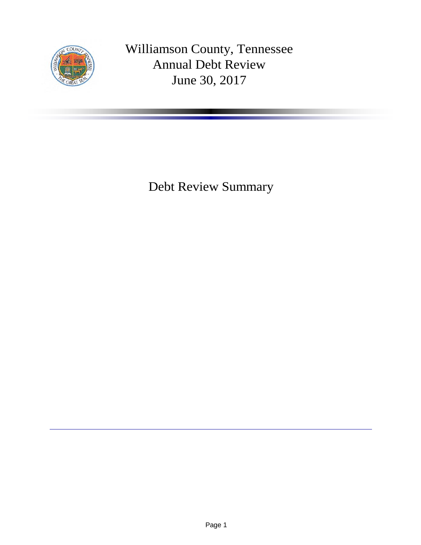

Williamson County, Tennessee Annual Debt Review June 30, 2017

Debt Review Summary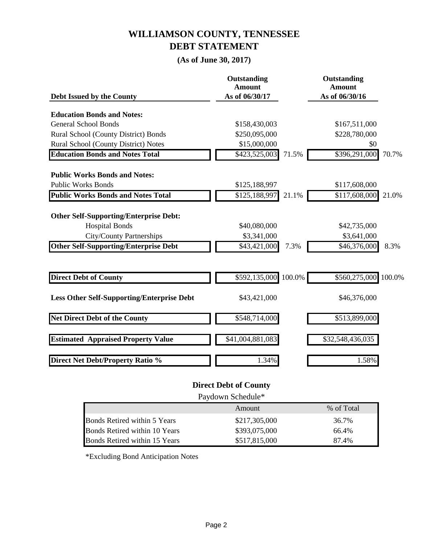### **WILLIAMSON COUNTY, TENNESSEE DEBT STATEMENT**

#### **(As of June 30, 2017)**

|                                                   | Outstanding<br><b>Amount</b> |        | Outstanding<br><b>Amount</b> |        |
|---------------------------------------------------|------------------------------|--------|------------------------------|--------|
| Debt Issued by the County                         | As of 06/30/17               |        | As of 06/30/16               |        |
| <b>Education Bonds and Notes:</b>                 |                              |        |                              |        |
| <b>General School Bonds</b>                       | \$158,430,003                |        | \$167,511,000                |        |
| Rural School (County District) Bonds              | \$250,095,000                |        | \$228,780,000                |        |
| <b>Rural School (County District) Notes</b>       | \$15,000,000                 |        | \$0                          |        |
| <b>Education Bonds and Notes Total</b>            | \$423,525,003                | 71.5%  | \$396,291,000                | 70.7%  |
| <b>Public Works Bonds and Notes:</b>              |                              |        |                              |        |
| <b>Public Works Bonds</b>                         | \$125,188,997                |        | \$117,608,000                |        |
| <b>Public Works Bonds and Notes Total</b>         | \$125,188,997                | 21.1%  | \$117,608,000                | 21.0%  |
| <b>Other Self-Supporting/Enterprise Debt:</b>     |                              |        |                              |        |
| <b>Hospital Bonds</b>                             | \$40,080,000                 |        | \$42,735,000                 |        |
| <b>City/County Partnerships</b>                   | \$3,341,000                  |        | \$3,641,000                  |        |
| <b>Other Self-Supporting/Enterprise Debt</b>      | \$43,421,000                 | 7.3%   | \$46,376,000                 | 8.3%   |
|                                                   |                              |        |                              |        |
| <b>Direct Debt of County</b>                      | \$592,135,000                | 100.0% | \$560,275,000                | 100.0% |
| <b>Less Other Self-Supporting/Enterprise Debt</b> | \$43,421,000                 |        | \$46,376,000                 |        |
| <b>Net Direct Debt of the County</b>              | \$548,714,000                |        | \$513,899,000                |        |
| <b>Estimated Appraised Property Value</b>         | \$41,004,881,083             |        | \$32,548,436,035             |        |
| <b>Direct Net Debt/Property Ratio %</b>           | 1.34%                        |        | 1.58%                        |        |

### **Direct Debt of County**

| Paydown Schedule*             |               |            |  |
|-------------------------------|---------------|------------|--|
|                               | Amount        | % of Total |  |
| Bonds Retired within 5 Years  | \$217,305,000 | 36.7%      |  |
| Bonds Retired within 10 Years | \$393,075,000 | 66.4%      |  |
| Bonds Retired within 15 Years | \$517,815,000 | 874%       |  |

\*Excluding Bond Anticipation Notes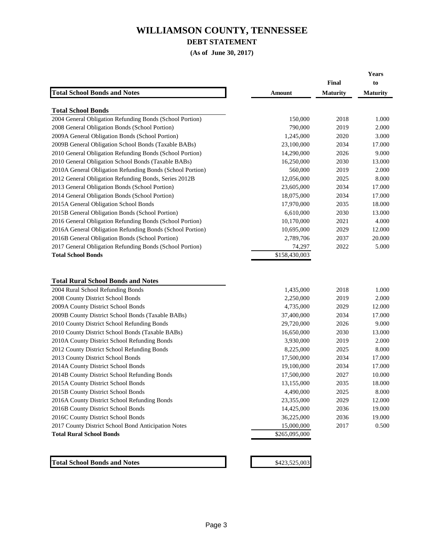**DEBT STATEMENT**

**(As of June 30, 2017)**

|                                                           |               |                 | Years           |
|-----------------------------------------------------------|---------------|-----------------|-----------------|
|                                                           |               | Final           | to              |
| <b>Total School Bonds and Notes</b>                       | Amount        | <b>Maturity</b> | <b>Maturity</b> |
| <b>Total School Bonds</b>                                 |               |                 |                 |
| 2004 General Obligation Refunding Bonds (School Portion)  | 150,000       | 2018            | 1.000           |
| 2008 General Obligation Bonds (School Portion)            | 790,000       | 2019            | 2.000           |
| 2009A General Obligation Bonds (School Portion)           | 1,245,000     | 2020            | 3.000           |
| 2009B General Obligation School Bonds (Taxable BABs)      | 23,100,000    | 2034            | 17.000          |
| 2010 General Obligation Refunding Bonds (School Portion)  | 14,290,000    | 2026            | 9.000           |
| 2010 General Obligation School Bonds (Taxable BABs)       | 16,250,000    | 2030            | 13.000          |
| 2010A General Obligation Refunding Bonds (School Portion) | 560,000       | 2019            | 2.000           |
| 2012 General Obligation Refunding Bonds, Series 2012B     | 12,056,000    | 2025            | 8.000           |
| 2013 General Obligation Bonds (School Portion)            | 23,605,000    | 2034            | 17.000          |
| 2014 General Obligation Bonds (School Portion)            | 18,075,000    | 2034            | 17.000          |
| 2015A General Obligation School Bonds                     | 17,970,000    | 2035            | 18.000          |
| 2015B General Obligation Bonds (School Portion)           | 6,610,000     | 2030            | 13.000          |
| 2016 General Obligation Refunding Bonds (School Portion)  | 10,170,000    | 2021            | 4.000           |
| 2016A General Obligation Refunding Bonds (School Portion) | 10,695,000    | 2029            | 12.000          |
| 2016B General Obligation Bonds (School Portion)           | 2,789,706     | 2037            | 20.000          |
| 2017 General Obligation Refunding Bonds (School Portion)  | 74,297        | 2022            | 5.000           |
| <b>Total School Bonds</b>                                 | \$158,430,003 |                 |                 |
|                                                           |               |                 |                 |
|                                                           |               |                 |                 |
| <b>Total Rural School Bonds and Notes</b>                 |               |                 |                 |
| 2004 Rural School Refunding Bonds                         | 1,435,000     | 2018            | 1.000           |
| 2008 County District School Bonds                         | 2,250,000     | 2019            | 2.000           |
| 2009A County District School Bonds                        | 4,735,000     | 2029            | 12.000          |
| 2009B County District School Bonds (Taxable BABs)         | 37,400,000    | 2034            | 17.000          |
| 2010 County District School Refunding Bonds               | 29,720,000    | 2026            | 9.000           |
| 2010 County District School Bonds (Taxable BABs)          | 16,650,000    | 2030            | 13.000          |
| 2010A County District School Refunding Bonds              | 3,930,000     | 2019            | 2.000           |
| 2012 County District School Refunding Bonds               | 8,225,000     | 2025            | 8.000           |
| 2013 County District School Bonds                         | 17,500,000    | 2034            | 17.000          |
| 2014A County District School Bonds                        | 19,100,000    | 2034            | 17.000          |
| 2014B County District School Refunding Bonds              | 17,500,000    | 2027            | 10.000          |
| 2015A County District School Bonds                        | 13,155,000    | 2035            | 18.000          |
| 2015B County District School Bonds                        | 4,490,000     | 2025            | 8.000           |
| 2016A County District School Refunding Bonds              | 23,355,000    | 2029            | 12.000          |
| 2016B County District School Bonds                        | 14,425,000    | 2036            | 19.000          |
| 2016C County District School Bonds                        | 36,225,000    | 2036            | 19.000          |
| 2017 County District School Bond Anticipation Notes       | 15,000,000    | 2017            | 0.500           |
| <b>Total Rural School Bonds</b>                           | \$265,095,000 |                 |                 |
|                                                           |               |                 |                 |
|                                                           |               |                 |                 |

**Total School Bonds and Notes**  $$423,525,003$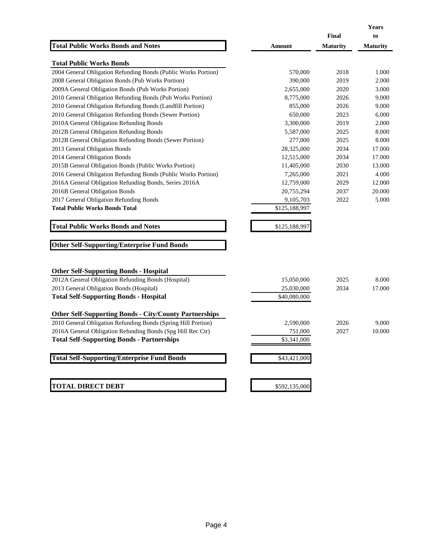|                                                                |               |                 | Years           |
|----------------------------------------------------------------|---------------|-----------------|-----------------|
|                                                                |               | Final           | to              |
| <b>Total Public Works Bonds and Notes</b>                      | <b>Amount</b> | <b>Maturity</b> | <b>Maturity</b> |
| <b>Total Public Works Bonds</b>                                |               |                 |                 |
| 2004 General Obligation Refunding Bonds (Public Works Portion) | 570,000       | 2018            | 1.000           |
| 2008 General Obligation Bonds (Pub Works Portion)              | 390,000       | 2019            | 2.000           |
| 2009A General Obligation Bonds (Pub Works Portion)             | 2,655,000     | 2020            | 3.000           |
| 2010 General Obligation Refunding Bonds (Pub Works Portion)    | 8,775,000     | 2026            | 9.000           |
| 2010 General Obligation Refunding Bonds (Landfill Portion)     | 855,000       | 2026            | 9.000           |
| 2010 General Obligation Refunding Bonds (Sewer Portion)        | 650,000       | 2023            | 6.000           |
| 2010A General Obligation Refunding Bonds                       | 3,300,000     | 2019            | 2.000           |
| 2012B General Obligation Refunding Bonds                       | 5,587,000     | 2025            | 8.000           |
| 2012B General Obligation Refunding Bonds (Sewer Portion)       | 277,000       | 2025            | 8.000           |
| 2013 General Obligation Bonds                                  | 28,325,000    | 2034            | 17.000          |
| 2014 General Obligation Bonds                                  | 12,515,000    | 2034            | 17.000          |
| 2015B General Obligation Bonds (Public Works Portion)          | 11,405,000    | 2030            | 13.000          |
| 2016 General Obligation Refunding Bonds (Public Works Portion) | 7,265,000     | 2021            | 4.000           |
| 2016A General Obligation Refunding Bonds, Series 2016A         | 12,759,000    | 2029            | 12.000          |
| 2016B General Obligation Bonds                                 | 20,755,294    | 2037            | 20.000          |
| 2017 General Obligation Refunding Bonds                        | 9,105,703     | 2022            | 5.000           |
| <b>Total Public Works Bonds Total</b>                          | \$125,188,997 |                 |                 |
|                                                                |               |                 |                 |
| <b>Total Public Works Bonds and Notes</b>                      | \$125,188,997 |                 |                 |
| <b>Other Self-Supporting/Enterprise Fund Bonds</b>             |               |                 |                 |
|                                                                |               |                 |                 |
| <b>Other Self-Supporting Bonds - Hospital</b>                  |               |                 |                 |
| 2012A General Obligation Refunding Bonds (Hospital)            | 15,050,000    | 2025            | 8.000           |
| 2013 General Obligation Bonds (Hospital)                       | 25,030,000    | 2034            | 17.000          |
| <b>Total Self-Supporting Bonds - Hospital</b>                  | \$40,080,000  |                 |                 |
| <b>Other Self-Supporting Bonds - City/County Partnerships</b>  |               |                 |                 |
| 2010 General Obligation Refunding Bonds (Spring Hill Portion)  | 2,590,000     | 2026            | 9.000           |
| 2016A General Obligation Refunding Bonds (Spg Hill Rec Ctr)    | 751,000       | 2027            | 10.000          |
| <b>Total Self-Supporting Bonds - Partnerships</b>              | \$3,341,000   |                 |                 |
|                                                                |               |                 |                 |
| <b>Total Self-Supporting/Enterprise Fund Bonds</b>             | \$43,421,000  |                 |                 |
|                                                                |               |                 |                 |
| <b>TOTAL DIRECT DEBT</b>                                       | \$592,135,000 |                 |                 |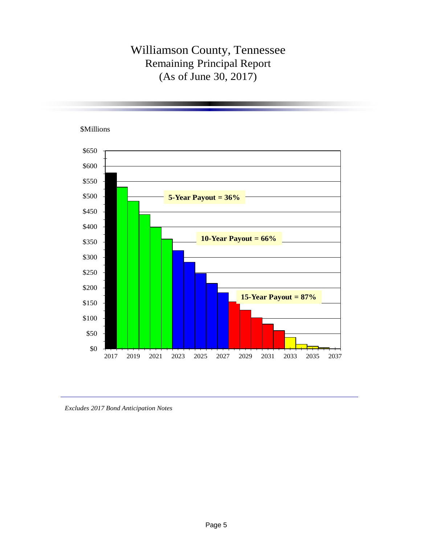## Williamson County, Tennessee Remaining Principal Report (As of June 30, 2017)



*Excludes 2017 Bond Anticipation Notes*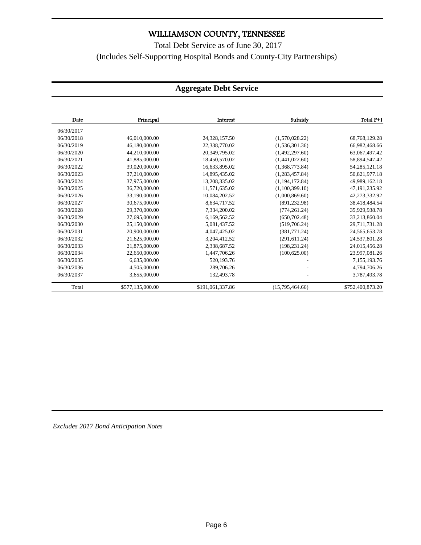Total Debt Service as of June 30, 2017 (Includes Self-Supporting Hospital Bonds and County-City Partnerships)

#### **Aggregate Debt Service**

**Part 1 of 3**

| Date       | Principal        | Interest         | Subsidy          | Total P+I        |
|------------|------------------|------------------|------------------|------------------|
| 06/30/2017 |                  |                  |                  |                  |
| 06/30/2018 | 46,010,000.00    | 24,328,157.50    | (1,570,028.22)   | 68, 768, 129. 28 |
| 06/30/2019 | 46,180,000.00    | 22,338,770.02    | (1,536,301.36)   | 66,982,468.66    |
| 06/30/2020 | 44,210,000.00    | 20.349.795.02    | (1,492,297.60)   | 63,067,497.42    |
| 06/30/2021 | 41,885,000.00    | 18,450,570.02    | (1,441,022.60)   | 58,894,547.42    |
| 06/30/2022 | 39,020,000.00    | 16,633,895.02    | (1,368,773.84)   | 54, 285, 121. 18 |
| 06/30/2023 | 37,210,000.00    | 14.895.435.02    | (1,283,457.84)   | 50,821,977.18    |
| 06/30/2024 | 37,975,000.00    | 13,208,335.02    | (1, 194, 172.84) | 49,989,162.18    |
| 06/30/2025 | 36,720,000.00    | 11,571,635.02    | (1,100,399.10)   | 47, 191, 235. 92 |
| 06/30/2026 | 33,190,000.00    | 10,084,202.52    | (1,000,869.60)   | 42,273,332.92    |
| 06/30/2027 | 30,675,000.00    | 8,634,717.52     | (891, 232.98)    | 38,418,484.54    |
| 06/30/2028 | 29,370,000.00    | 7.334.200.02     | (774, 261.24)    | 35,929,938.78    |
| 06/30/2029 | 27,695,000.00    | 6,169,562.52     | (650, 702.48)    | 33,213,860.04    |
| 06/30/2030 | 25,150,000.00    | 5,081,437.52     | (519,706.24)     | 29,711,731.28    |
| 06/30/2031 | 20,900,000.00    | 4,047,425.02     | (381,771.24)     | 24, 565, 653. 78 |
| 06/30/2032 | 21,625,000.00    | 3,204,412.52     | (291, 611.24)    | 24,537,801.28    |
| 06/30/2033 | 21,875,000.00    | 2,338,687.52     | (198, 231, 24)   | 24,015,456.28    |
| 06/30/2034 | 22,650,000.00    | 1,447,706.26     | (100, 625.00)    | 23,997,081.26    |
| 06/30/2035 | 6,635,000.00     | 520,193.76       |                  | 7,155,193.76     |
| 06/30/2036 | 4,505,000.00     | 289,706.26       |                  | 4,794,706.26     |
| 06/30/2037 | 3,655,000.00     | 132.493.78       |                  | 3,787,493.78     |
| Total      | \$577,135,000.00 | \$191,061,337.86 | (15,795,464.66)  | \$752,400,873.20 |

*Excludes 2017 Bond Anticipation Notes*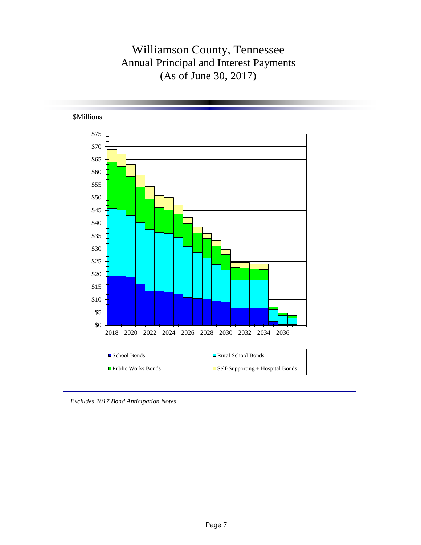## Williamson County, Tennessee Annual Principal and Interest Payments (As of June 30, 2017)



*Excludes 2017 Bond Anticipation Notes*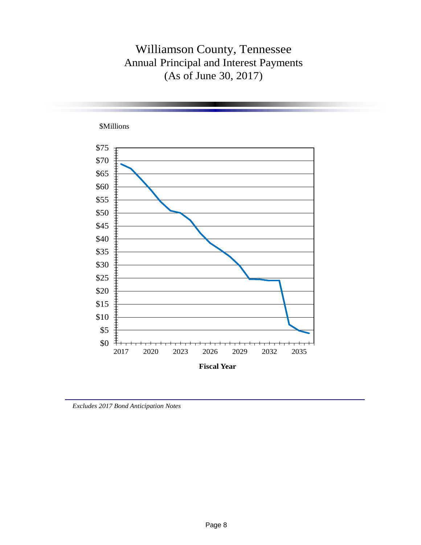## Williamson County, Tennessee Annual Principal and Interest Payments (As of June 30, 2017)



*Excludes 2017 Bond Anticipation Notes*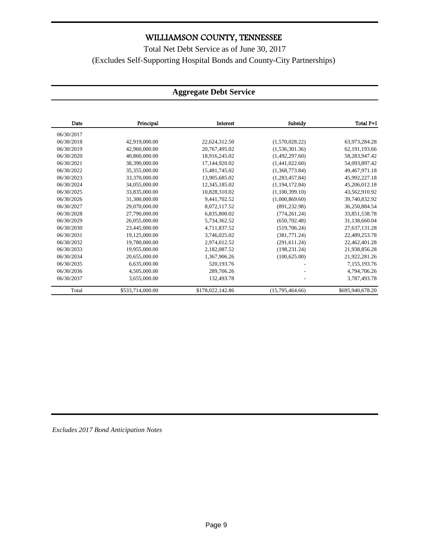Total Net Debt Service as of June 30, 2017 (Excludes Self-Supporting Hospital Bonds and County-City Partnerships)

#### **Aggregate Debt Service**

**Part 1 of 3**

| Date       | Principal        | Interest         | Subsidy          | Total P+I        |
|------------|------------------|------------------|------------------|------------------|
| 06/30/2017 |                  |                  |                  |                  |
| 06/30/2018 | 42,919,000.00    | 22,624,312.50    | (1,570,028.22)   | 63,973,284.28    |
| 06/30/2019 | 42,960,000.00    | 20,767,495.02    | (1,536,301.36)   | 62, 191, 193. 66 |
| 06/30/2020 | 40,860,000.00    | 18,916,245.02    | (1,492,297.60)   | 58,283,947.42    |
| 06/30/2021 | 38,390,000.00    | 17,144,920.02    | (1,441,022.60)   | 54,093,897.42    |
| 06/30/2022 | 35,355,000.00    | 15,481,745.02    | (1,368,773.84)   | 49,467,971.18    |
| 06/30/2023 | 33,370,000.00    | 13,905,685.02    | (1,283,457.84)   | 45,992,227.18    |
| 06/30/2024 | 34,055,000.00    | 12,345,185.02    | (1, 194, 172.84) | 45,206,012.18    |
| 06/30/2025 | 33,835,000.00    | 10,828,310.02    | (1,100,399.10)   | 43,562,910.92    |
| 06/30/2026 | 31,300,000.00    | 9,441,702.52     | (1,000,869.60)   | 39,740,832.92    |
| 06/30/2027 | 29,070,000.00    | 8,072,117.52     | (891, 232.98)    | 36,250,884.54    |
| 06/30/2028 | 27,790,000.00    | 6,835,800.02     | (774, 261.24)    | 33,851,538.78    |
| 06/30/2029 | 26,055,000.00    | 5,734,362.52     | (650, 702.48)    | 31,138,660.04    |
| 06/30/2030 | 23,445,000.00    | 4,711,837.52     | (519,706.24)     | 27,637,131.28    |
| 06/30/2031 | 19,125,000.00    | 3.746.025.02     | (381, 771.24)    | 22.489.253.78    |
| 06/30/2032 | 19,780,000.00    | 2,974,012.52     | (291, 611.24)    | 22,462,401.28    |
| 06/30/2033 | 19,955,000.00    | 2,182,087.52     | (198, 231, 24)   | 21,938,856.28    |
| 06/30/2034 | 20,655,000.00    | 1,367,906.26     | (100, 625.00)    | 21,922,281.26    |
| 06/30/2035 | 6.635,000.00     | 520.193.76       |                  | 7,155,193.76     |
| 06/30/2036 | 4,505,000.00     | 289,706.26       |                  | 4,794,706.26     |
| 06/30/2037 | 3,655,000.00     | 132,493.78       |                  | 3,787,493.78     |
| Total      | \$533,714,000.00 | \$178,022,142.86 | (15,795,464.66)  | \$695,940,678.20 |

*Excludes 2017 Bond Anticipation Notes*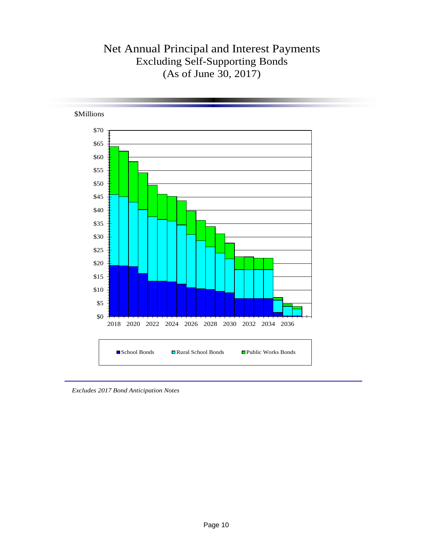### Net Annual Principal and Interest Payments Excluding Self-Supporting Bonds (As of June 30, 2017)



*Excludes 2017 Bond Anticipation Notes*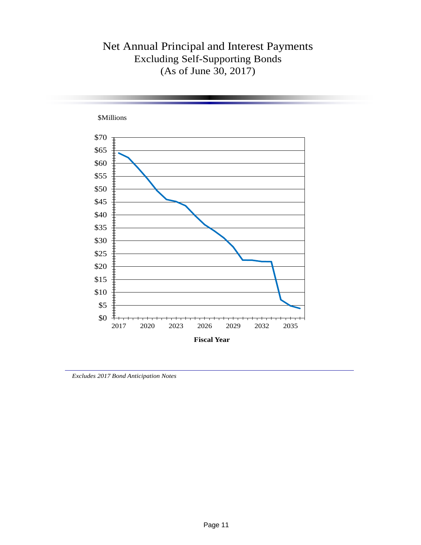### Net Annual Principal and Interest Payments Excluding Self-Supporting Bonds (As of June 30, 2017)



*Excludes 2017 Bond Anticipation Notes*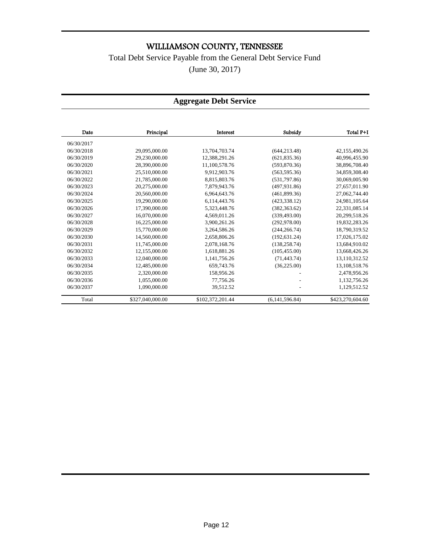#### Total Debt Service Payable from the General Debt Service Fund

(June 30, 2017)

#### **Aggregate Debt Service**

| Date       | Principal        | Interest         | Subsidy        | Total P+I        |
|------------|------------------|------------------|----------------|------------------|
| 06/30/2017 |                  |                  |                |                  |
| 06/30/2018 | 29,095,000.00    | 13,704,703.74    | (644, 213.48)  | 42,155,490.26    |
| 06/30/2019 | 29,230,000.00    | 12,388,291.26    | (621, 835.36)  | 40,996,455.90    |
| 06/30/2020 | 28,390,000.00    | 11,100,578.76    | (593, 870.36)  | 38,896,708.40    |
| 06/30/2021 | 25,510,000.00    | 9,912,903.76     | (563, 595.36)  | 34,859,308.40    |
| 06/30/2022 | 21,785,000.00    | 8,815,803.76     | (531,797.86)   | 30,069,005.90    |
| 06/30/2023 | 20,275,000.00    | 7.879.943.76     | (497.931.86)   | 27,657,011.90    |
| 06/30/2024 | 20,560,000.00    | 6,964,643.76     | (461,899.36)   | 27,062,744.40    |
| 06/30/2025 | 19,290,000.00    | 6,114,443.76     | (423, 338, 12) | 24,981,105.64    |
| 06/30/2026 | 17,390,000.00    | 5,323,448.76     | (382, 363.62)  | 22,331,085.14    |
| 06/30/2027 | 16,070,000.00    | 4,569,011.26     | (339, 493.00)  | 20,299,518.26    |
| 06/30/2028 | 16,225,000.00    | 3,900,261.26     | (292, 978.00)  | 19,832,283.26    |
| 06/30/2029 | 15,770,000.00    | 3,264,586.26     | (244, 266.74)  | 18,790,319.52    |
| 06/30/2030 | 14,560,000.00    | 2,658,806.26     | (192, 631.24)  | 17,026,175.02    |
| 06/30/2031 | 11,745,000.00    | 2,078,168.76     | (138, 258.74)  | 13,684,910.02    |
| 06/30/2032 | 12,155,000.00    | 1,618,881.26     | (105, 455.00)  | 13,668,426.26    |
| 06/30/2033 | 12,040,000.00    | 1,141,756.26     | (71, 443.74)   | 13,110,312.52    |
| 06/30/2034 | 12,485,000.00    | 659,743.76       | (36, 225.00)   | 13,108,518.76    |
| 06/30/2035 | 2,320,000.00     | 158,956.26       |                | 2,478,956.26     |
| 06/30/2036 | 1,055,000.00     | 77,756.26        |                | 1,132,756.26     |
| 06/30/2037 | 1,090,000.00     | 39,512.52        |                | 1,129,512.52     |
| Total      | \$327,040,000.00 | \$102,372,201.44 | (6,141,596.84) | \$423,270,604.60 |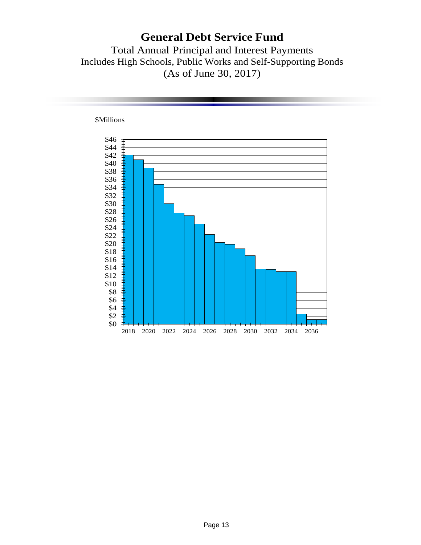### **General Debt Service Fund**

Total Annual Principal and Interest Payments Includes High Schools, Public Works and Self-Supporting Bonds (As of June 30, 2017)



\$Millions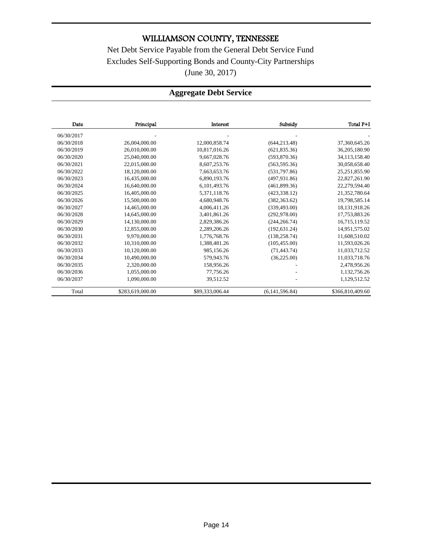Net Debt Service Payable from the General Debt Service Fund Excludes Self-Supporting Bonds and County-City Partnerships (June 30, 2017)

#### **Aggregate Debt Service**

| Date       | Principal        | Interest        | Subsidy           | Total P+I        |
|------------|------------------|-----------------|-------------------|------------------|
| 06/30/2017 |                  |                 |                   |                  |
| 06/30/2018 | 26,004,000.00    | 12,000,858.74   | (644, 213.48)     | 37,360,645.26    |
| 06/30/2019 | 26,010,000.00    | 10,817,016.26   | (621, 835.36)     | 36,205,180.90    |
| 06/30/2020 | 25,040,000.00    | 9,667,028.76    | (593,870.36)      | 34,113,158.40    |
| 06/30/2021 | 22,015,000.00    | 8,607,253.76    | (563, 595, 36)    | 30,058,658.40    |
| 06/30/2022 | 18,120,000.00    | 7,663,653.76    | (531,797.86)      | 25, 251, 855.90  |
| 06/30/2023 | 16.435,000.00    | 6.890.193.76    | (497.931.86)      | 22,827,261.90    |
| 06/30/2024 | 16,640,000.00    | 6, 101, 493. 76 | (461,899.36)      | 22,279,594.40    |
| 06/30/2025 | 16,405,000.00    | 5,371,118.76    | (423, 338.12)     | 21,352,780.64    |
| 06/30/2026 | 15,500,000.00    | 4,680,948.76    | (382, 363.62)     | 19,798,585.14    |
| 06/30/2027 | 14,465,000.00    | 4,006,411.26    | (339, 493.00)     | 18,131,918.26    |
| 06/30/2028 | 14,645,000.00    | 3,401,861.26    | (292, 978.00)     | 17,753,883.26    |
| 06/30/2029 | 14,130,000.00    | 2,829,386.26    | (244, 266, 74)    | 16,715,119.52    |
| 06/30/2030 | 12,855,000.00    | 2,289,206.26    | (192, 631.24)     | 14,951,575.02    |
| 06/30/2031 | 9,970,000.00     | 1,776,768.76    | (138, 258, 74)    | 11,608,510.02    |
| 06/30/2032 | 10,310,000.00    | 1,388,481.26    | (105, 455.00)     | 11,593,026.26    |
| 06/30/2033 | 10,120,000.00    | 985,156.26      | (71, 443.74)      | 11,033,712.52    |
| 06/30/2034 | 10.490.000.00    | 579.943.76      | (36, 225.00)      | 11,033,718.76    |
| 06/30/2035 | 2,320,000.00     | 158,956.26      |                   | 2,478,956.26     |
| 06/30/2036 | 1,055,000.00     | 77,756.26       |                   | 1,132,756.26     |
| 06/30/2037 | 1.090.000.00     | 39,512.52       |                   | 1,129,512.52     |
| Total      | \$283,619,000.00 | \$89,333,006.44 | (6, 141, 596, 84) | \$366,810,409.60 |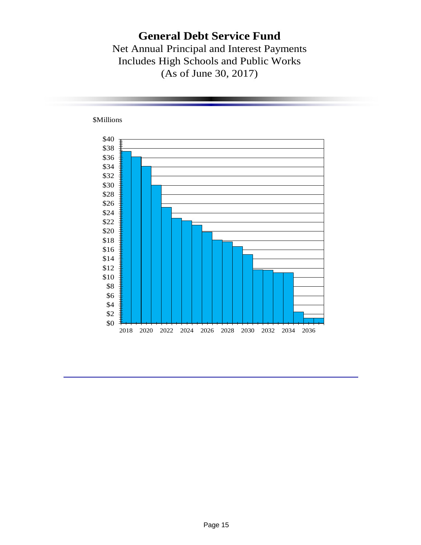### **General Debt Service Fund**

Net Annual Principal and Interest Payments Includes High Schools and Public Works (As of June 30, 2017)



\$Millions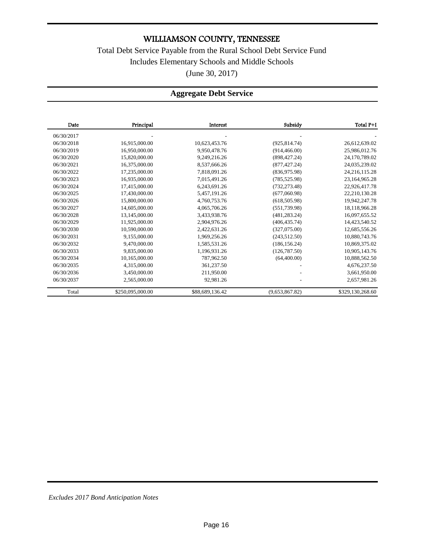Total Debt Service Payable from the Rural School Debt Service Fund Includes Elementary Schools and Middle Schools (June 30, 2017)

#### **Aggregate Debt Service**

| Date       | Principal        | Interest        | Subsidy        | Total P+I        |
|------------|------------------|-----------------|----------------|------------------|
| 06/30/2017 |                  |                 |                |                  |
| 06/30/2018 | 16,915,000.00    | 10,623,453.76   | (925, 814, 74) | 26,612,639.02    |
| 06/30/2019 | 16,950,000.00    | 9,950,478.76    | (914, 466.00)  | 25,986,012.76    |
| 06/30/2020 | 15,820,000.00    | 9,249,216.26    | (898, 427, 24) | 24,170,789.02    |
| 06/30/2021 | 16.375.000.00    | 8.537.666.26    | (877.427.24)   | 24.035.239.02    |
| 06/30/2022 | 17,235,000.00    | 7,818,091.26    | (836,975.98)   | 24, 216, 115.28  |
| 06/30/2023 | 16,935,000.00    | 7,015,491.26    | (785, 525.98)  | 23,164,965.28    |
| 06/30/2024 | 17,415,000.00    | 6,243,691.26    | (732, 273.48)  | 22,926,417.78    |
| 06/30/2025 | 17,430,000.00    | 5,457,191.26    | (677,060.98)   | 22,210,130.28    |
| 06/30/2026 | 15,800,000.00    | 4,760,753.76    | (618, 505.98)  | 19,942,247.78    |
| 06/30/2027 | 14,605,000.00    | 4,065,706.26    | (551, 739.98)  | 18,118,966.28    |
| 06/30/2028 | 13,145,000.00    | 3,433,938.76    | (481, 283, 24) | 16,097,655.52    |
| 06/30/2029 | 11,925,000.00    | 2,904,976.26    | (406, 435, 74) | 14,423,540.52    |
| 06/30/2030 | 10.590.000.00    | 2.422.631.26    | (327,075.00)   | 12,685,556.26    |
| 06/30/2031 | 9,155,000.00     | 1,969,256.26    | (243, 512.50)  | 10,880,743.76    |
| 06/30/2032 | 9,470,000.00     | 1,585,531.26    | (186, 156.24)  | 10,869,375.02    |
| 06/30/2033 | 9,835,000.00     | 1,196,931.26    | (126, 787.50)  | 10,905,143.76    |
| 06/30/2034 | 10,165,000.00    | 787,962.50      | (64,400.00)    | 10,888,562.50    |
| 06/30/2035 | 4,315,000.00     | 361,237.50      |                | 4,676,237.50     |
| 06/30/2036 | 3,450,000.00     | 211.950.00      |                | 3,661,950.00     |
| 06/30/2037 | 2,565,000.00     | 92.981.26       |                | 2,657,981.26     |
| Total      | \$250,095,000.00 | \$88,689,136.42 | (9,653,867.82) | \$329,130,268.60 |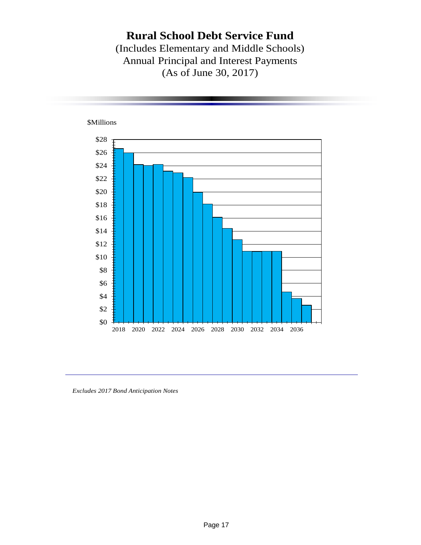## **Rural School Debt Service Fund**

(Includes Elementary and Middle Schools) Annual Principal and Interest Payments (As of June 30, 2017)



*Excludes 2017 Bond Anticipation Notes*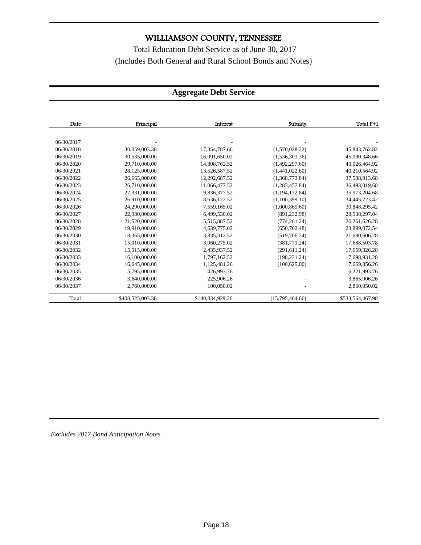Total Education Debt Service as of June 30, 2017 (Includes Both General and Rural School Bonds and Notes)

#### **Aggregate Debt Service**

**Part 1 of 2** 

| Date       | Principal        | Interest         | Subsidy         | Total P+I        |
|------------|------------------|------------------|-----------------|------------------|
|            |                  |                  |                 |                  |
| 06/30/2017 |                  |                  |                 |                  |
| 06/30/2018 | 30,059,003.38    | 17,354,787.66    | (1,570,028.22)  | 45,843,762.82    |
| 06/30/2019 | 30,535,000.00    | 16,091,650.02    | (1,536,301.36)  | 45,090,348.66    |
| 06/30/2020 | 29.710.000.00    | 14,808,762.52    | (1,492,297.60)  | 43,026,464.92    |
| 06/30/2021 | 28,125,000.00    | 13,526,587.52    | (1,441,022.60)  | 40,210,564.92    |
| 06/30/2022 | 26,665,000.00    | 12,292,687.52    | (1,368,773.84)  | 37,588,913.68    |
| 06/30/2023 | 26,710,000.00    | 11,066,477.52    | (1,283,457.84)  | 36,493,019.68    |
| 06/30/2024 | 27,331,000.00    | 9,836,377.52     | (1,194,172.84)  | 35,973,204.68    |
| 06/30/2025 | 26,910,000.00    | 8,636,122.52     | (1,100,399.10)  | 34,445,723.42    |
| 06/30/2026 | 24,290,000.00    | 7,559,165.02     | (1,000,869.60)  | 30,848,295.42    |
| 06/30/2027 | 22,930,000.00    | 6,499,530.02     | (891, 232.98)   | 28,538,297.04    |
| 06/30/2028 | 21,520,000.00    | 5,515,887.52     | (774, 261.24)   | 26,261,626.28    |
| 06/30/2029 | 19,910,000.00    | 4,639,775.02     | (650, 702.48)   | 23,899,072.54    |
| 06/30/2030 | 18,365,000.00    | 3,835,312.52     | (519,706.24)    | 21,680,606.28    |
| 06/30/2031 | 15,010,000.00    | 3,060,275.02     | (381,771.24)    | 17,688,503.78    |
| 06/30/2032 | 15,515,000.00    | 2,435,937.52     | (291, 611.24)   | 17,659,326.28    |
| 06/30/2033 | 16,100,000.00    | 1,797,162.52     | (198, 231.24)   | 17,698,931.28    |
| 06/30/2034 | 16,645,000.00    | 1,125,481.26     | (100, 625.00)   | 17,669,856.26    |
| 06/30/2035 | 5,795,000.00     | 426,993.76       |                 | 6,221,993.76     |
| 06/30/2036 | 3,640,000.00     | 225,906.26       |                 | 3,865,906.26     |
| 06/30/2037 | 2,760,000.00     | 100,050.02       |                 | 2,860,050.02     |
| Total      | \$408,525,003.38 | \$140,834,929.26 | (15,795,464.66) | \$533,564,467.98 |

*Excludes 2017 Bond Anticipation Notes*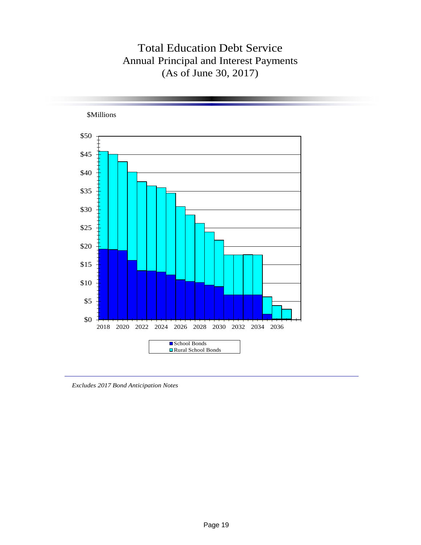## Total Education Debt Service Annual Principal and Interest Payments (As of June 30, 2017)



*Excludes 2017 Bond Anticipation Notes*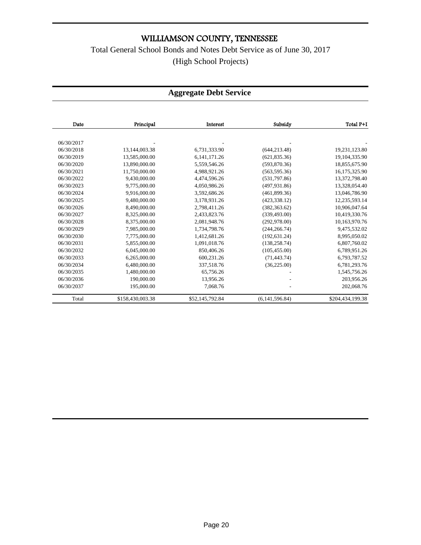Total General School Bonds and Notes Debt Service as of June 30, 2017 (High School Projects)

#### **Aggregate Debt Service**

| Date       | Principal        | Interest        | Subsidy        | Total P+I        |
|------------|------------------|-----------------|----------------|------------------|
|            |                  |                 |                |                  |
| 06/30/2017 |                  |                 |                |                  |
| 06/30/2018 | 13,144,003.38    | 6,731,333.90    | (644, 213.48)  | 19,231,123.80    |
| 06/30/2019 | 13,585,000.00    | 6, 141, 171. 26 | (621, 835, 36) | 19,104,335.90    |
| 06/30/2020 | 13,890,000.00    | 5,559,546.26    | (593, 870.36)  | 18,855,675.90    |
| 06/30/2021 | 11,750,000.00    | 4,988,921.26    | (563, 595, 36) | 16,175,325.90    |
| 06/30/2022 | 9,430,000.00     | 4,474,596.26    | (531,797.86)   | 13,372,798.40    |
| 06/30/2023 | 9,775,000.00     | 4,050,986.26    | (497, 931, 86) | 13,328,054.40    |
| 06/30/2024 | 9,916,000.00     | 3,592,686.26    | (461, 899.36)  | 13,046,786.90    |
| 06/30/2025 | 9,480,000.00     | 3,178,931.26    | (423, 338.12)  | 12,235,593.14    |
| 06/30/2026 | 8,490,000.00     | 2,798,411.26    | (382, 363.62)  | 10,906,047.64    |
| 06/30/2027 | 8,325,000.00     | 2,433,823.76    | (339, 493.00)  | 10,419,330.76    |
| 06/30/2028 | 8,375,000.00     | 2,081,948.76    | (292, 978.00)  | 10,163,970.76    |
| 06/30/2029 | 7,985,000.00     | 1,734,798.76    | (244, 266.74)  | 9,475,532.02     |
| 06/30/2030 | 7,775,000.00     | 1,412,681.26    | (192, 631.24)  | 8,995,050.02     |
| 06/30/2031 | 5,855,000.00     | 1,091,018.76    | (138, 258, 74) | 6,807,760.02     |
| 06/30/2032 | 6,045,000.00     | 850,406.26      | (105, 455.00)  | 6,789,951.26     |
| 06/30/2033 | 6,265,000.00     | 600,231.26      | (71, 443.74)   | 6,793,787.52     |
| 06/30/2034 | 6,480,000.00     | 337,518.76      | (36, 225.00)   | 6,781,293.76     |
| 06/30/2035 | 1.480,000.00     | 65,756.26       |                | 1,545,756.26     |
| 06/30/2036 | 190,000.00       | 13,956.26       |                | 203,956.26       |
| 06/30/2037 | 195,000.00       | 7,068.76        |                | 202,068.76       |
| Total      | \$158,430,003.38 | \$52,145,792.84 | (6,141,596.84) | \$204,434,199.38 |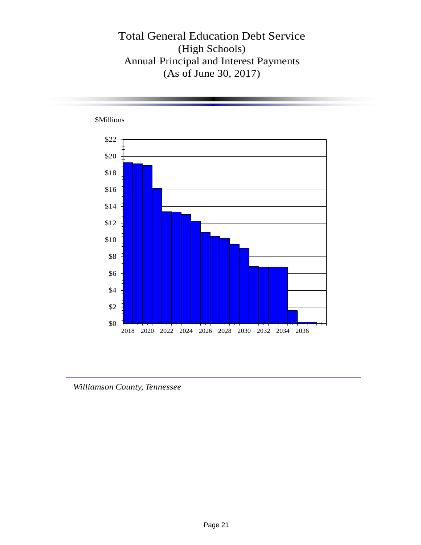Total General Education Debt Service (High Schools) Annual Principal and Interest Payments (As of June 30, 2017)



*Williamson County, Tennessee*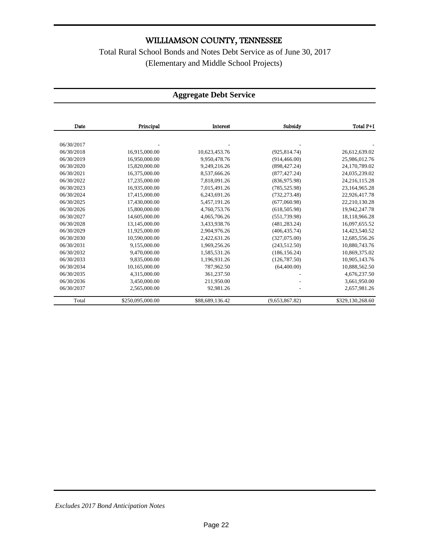Total Rural School Bonds and Notes Debt Service as of June 30, 2017 (Elementary and Middle School Projects)

#### **Aggregate Debt Service**

| Date       | Principal        | Interest        | Subsidy        | Total P+I        |
|------------|------------------|-----------------|----------------|------------------|
|            |                  |                 |                |                  |
| 06/30/2017 |                  |                 |                |                  |
| 06/30/2018 | 16,915,000.00    | 10,623,453.76   | (925, 814.74)  | 26,612,639.02    |
| 06/30/2019 | 16,950,000.00    | 9,950,478.76    | (914, 466.00)  | 25,986,012.76    |
| 06/30/2020 | 15,820,000.00    | 9.249.216.26    | (898, 427.24)  | 24,170,789.02    |
| 06/30/2021 | 16,375,000.00    | 8,537,666.26    | (877, 427, 24) | 24,035,239.02    |
| 06/30/2022 | 17,235,000.00    | 7,818,091.26    | (836,975.98)   | 24,216,115.28    |
| 06/30/2023 | 16,935,000.00    | 7,015,491.26    | (785, 525.98)  | 23,164,965.28    |
| 06/30/2024 | 17,415,000.00    | 6,243,691.26    | (732, 273.48)  | 22,926,417.78    |
| 06/30/2025 | 17,430,000.00    | 5,457,191.26    | (677,060.98)   | 22,210,130.28    |
| 06/30/2026 | 15,800,000.00    | 4,760,753.76    | (618, 505.98)  | 19,942,247.78    |
| 06/30/2027 | 14,605,000.00    | 4,065,706.26    | (551, 739.98)  | 18,118,966.28    |
| 06/30/2028 | 13,145,000.00    | 3,433,938.76    | (481, 283, 24) | 16,097,655.52    |
| 06/30/2029 | 11,925,000.00    | 2,904,976.26    | (406, 435, 74) | 14,423,540.52    |
| 06/30/2030 | 10,590,000.00    | 2,422,631.26    | (327,075.00)   | 12,685,556.26    |
| 06/30/2031 | 9,155,000.00     | 1,969,256.26    | (243, 512, 50) | 10,880,743.76    |
| 06/30/2032 | 9.470.000.00     | 1.585.531.26    | (186, 156.24)  | 10,869,375.02    |
| 06/30/2033 | 9,835,000.00     | 1,196,931.26    | (126, 787.50)  | 10,905,143.76    |
| 06/30/2034 | 10,165,000.00    | 787,962.50      | (64, 400, 00)  | 10,888,562.50    |
| 06/30/2035 | 4,315,000.00     | 361,237.50      |                | 4,676,237.50     |
| 06/30/2036 | 3,450,000.00     | 211,950.00      |                | 3,661,950.00     |
| 06/30/2037 | 2,565,000.00     | 92,981.26       |                | 2,657,981.26     |
| Total      | \$250,095,000.00 | \$88,689,136.42 | (9,653,867.82) | \$329,130,268.60 |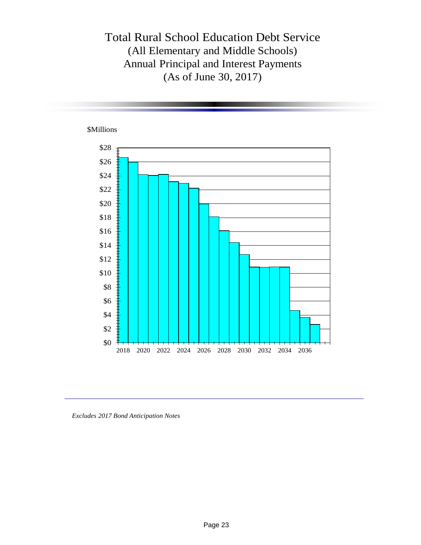## Total Rural School Education Debt Service (All Elementary and Middle Schools) Annual Principal and Interest Payments (As of June 30, 2017)



*Excludes 2017 Bond Anticipation Notes*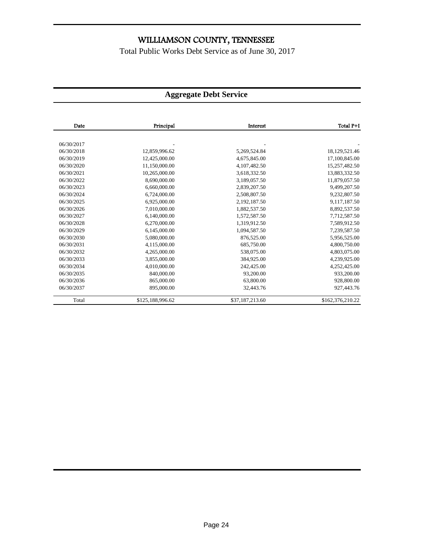Total Public Works Debt Service as of June 30, 2017

#### **Aggregate Debt Service**

| Date       | Principal        | Interest        | Total P+I        |
|------------|------------------|-----------------|------------------|
|            |                  |                 |                  |
| 06/30/2017 |                  |                 |                  |
| 06/30/2018 | 12,859,996.62    | 5,269,524.84    | 18,129,521.46    |
| 06/30/2019 | 12,425,000.00    | 4,675,845.00    | 17,100,845.00    |
| 06/30/2020 | 11,150,000.00    | 4,107,482.50    | 15,257,482.50    |
| 06/30/2021 | 10,265,000.00    | 3,618,332.50    | 13,883,332.50    |
| 06/30/2022 | 8,690,000.00     | 3,189,057.50    | 11,879,057.50    |
| 06/30/2023 | 6,660,000.00     | 2,839,207.50    | 9,499,207.50     |
| 06/30/2024 | 6,724,000.00     | 2,508,807.50    | 9,232,807.50     |
| 06/30/2025 | 6,925,000.00     | 2,192,187.50    | 9,117,187.50     |
| 06/30/2026 | 7,010,000.00     | 1,882,537.50    | 8,892,537.50     |
| 06/30/2027 | 6,140,000.00     | 1,572,587.50    | 7,712,587.50     |
| 06/30/2028 | 6,270,000.00     | 1,319,912.50    | 7,589,912.50     |
| 06/30/2029 | 6,145,000.00     | 1,094,587.50    | 7,239,587.50     |
| 06/30/2030 | 5,080,000.00     | 876,525.00      | 5,956,525.00     |
| 06/30/2031 | 4,115,000.00     | 685,750.00      | 4,800,750.00     |
| 06/30/2032 | 4,265,000.00     | 538,075.00      | 4,803,075.00     |
| 06/30/2033 | 3,855,000.00     | 384,925.00      | 4,239,925.00     |
| 06/30/2034 | 4,010,000.00     | 242,425.00      | 4,252,425.00     |
| 06/30/2035 | 840,000.00       | 93,200.00       | 933,200.00       |
| 06/30/2036 | 865,000.00       | 63,800.00       | 928,800.00       |
| 06/30/2037 | 895,000.00       | 32,443.76       | 927,443.76       |
| Total      | \$125,188,996.62 | \$37,187,213.60 | \$162,376,210.22 |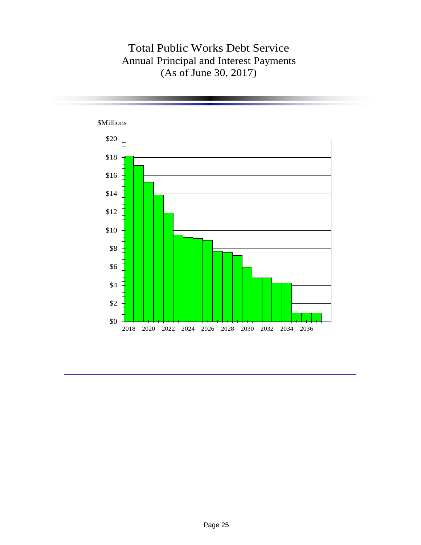## Total Public Works Debt Service Annual Principal and Interest Payments (As of June 30, 2017)

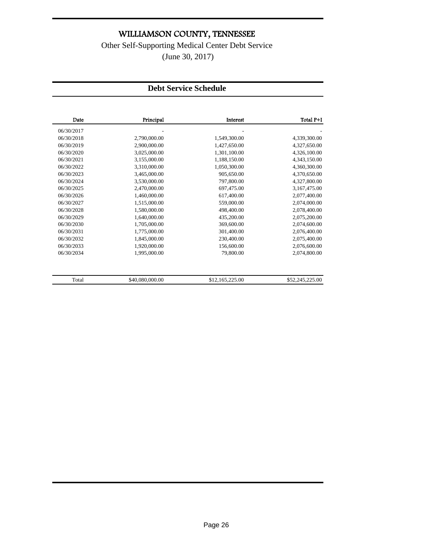Other Self-Supporting Medical Center Debt Service

(June 30, 2017)

#### **Debt Service Schedule**

| Date       | Principal       | Interest        | Total P+I       |
|------------|-----------------|-----------------|-----------------|
| 06/30/2017 |                 |                 |                 |
| 06/30/2018 | 2,790,000.00    | 1,549,300.00    | 4,339,300.00    |
| 06/30/2019 | 2,900,000.00    | 1,427,650.00    | 4,327,650.00    |
| 06/30/2020 | 3,025,000.00    | 1,301,100.00    | 4,326,100.00    |
| 06/30/2021 | 3,155,000.00    | 1,188,150.00    | 4,343,150.00    |
| 06/30/2022 | 3,310,000.00    | 1,050,300.00    | 4,360,300.00    |
| 06/30/2023 | 3,465,000.00    | 905,650.00      | 4,370,650.00    |
| 06/30/2024 | 3,530,000.00    | 797,800.00      | 4,327,800.00    |
| 06/30/2025 | 2,470,000.00    | 697,475.00      | 3,167,475.00    |
| 06/30/2026 | 1,460,000.00    | 617,400.00      | 2,077,400.00    |
| 06/30/2027 | 1,515,000.00    | 559,000.00      | 2,074,000.00    |
| 06/30/2028 | 1,580,000.00    | 498,400.00      | 2,078,400.00    |
| 06/30/2029 | 1,640,000.00    | 435,200.00      | 2,075,200.00    |
| 06/30/2030 | 1,705,000.00    | 369,600.00      | 2,074,600.00    |
| 06/30/2031 | 1,775,000.00    | 301,400.00      | 2,076,400.00    |
| 06/30/2032 | 1,845,000.00    | 230,400.00      | 2,075,400.00    |
| 06/30/2033 | 1,920,000.00    | 156,600.00      | 2,076,600.00    |
| 06/30/2034 | 1,995,000.00    | 79,800.00       | 2,074,800.00    |
| Total      | \$40,080,000.00 | \$12,165,225.00 | \$52,245,225.00 |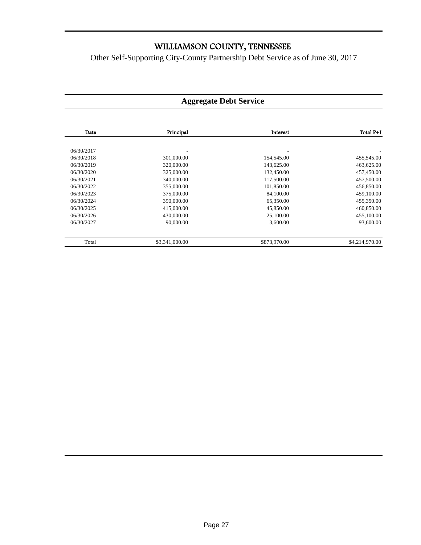Other Self-Supporting City-County Partnership Debt Service as of June 30, 2017

### **Aggregate Debt Service**

| Date       | Principal      | Interest     | Total P+I      |
|------------|----------------|--------------|----------------|
|            |                |              |                |
| 06/30/2017 |                |              |                |
| 06/30/2018 | 301,000.00     | 154,545.00   | 455,545.00     |
| 06/30/2019 | 320,000.00     | 143,625.00   | 463,625.00     |
| 06/30/2020 | 325,000.00     | 132,450.00   | 457,450.00     |
| 06/30/2021 | 340,000.00     | 117,500.00   | 457,500.00     |
| 06/30/2022 | 355,000.00     | 101,850.00   | 456,850.00     |
| 06/30/2023 | 375,000.00     | 84,100.00    | 459,100.00     |
| 06/30/2024 | 390,000.00     | 65,350.00    | 455,350.00     |
| 06/30/2025 | 415,000.00     | 45,850.00    | 460,850.00     |
| 06/30/2026 | 430,000.00     | 25,100.00    | 455,100.00     |
| 06/30/2027 | 90,000.00      | 3,600.00     | 93,600.00      |
| Total      | \$3,341,000.00 | \$873,970.00 | \$4,214,970.00 |